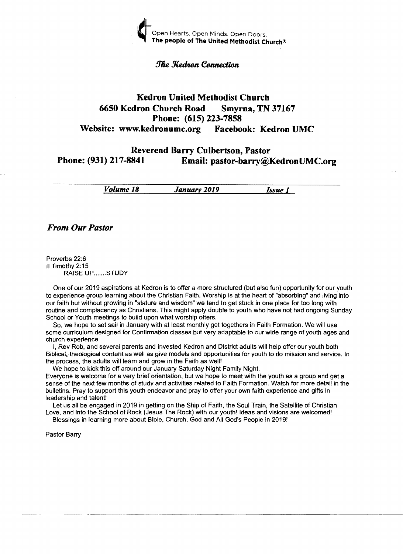

#### **The Kedron Connection**

## **Kedron United Metbodist Cburcb 6650 Kedron Church Road Smyrna, TN 37167 Phone: (615) 223-7858 Website: www.kedronumc.org Facebook: Kedron UMC**

## **Reverend Barry Culbertson, Pastor<br>
Phone: (931) 217-8841 Email: pastor-barry@l** Email: pastor-barry@KedronUMC.org

*Volume 18 January 2019 Issue 1* 

*From Our Pastor* 

Proverbs 22:6 II Timothy 2: 15 RAISE UP.......STUDY

One of our 2019 aspirations at Kedron is to offer a more structured (but also fun) opportunity for our youth to experience group learning about the Christian Faith. Worship is at the heart of "absorbing" and living into our faith but without growing in "stature and wisdom" we tend to get stuck in one place for too long with routine and complacency as Christians. This might apply double to youth who have not had ongoing Sunday School or Youth meetings to build upon what worship offers.

So, we hope to set sail in January with at least monthly get togethers in Faith Formation. We will use some curriculum designed for Confirmation classes but very adaptable to our wide range of youth ages and church experience.

I, Rev Rob, and several parents and invested Kedron and District adults will help offer our youth both Biblical, theological content as well as give models and opportunities for youth to do mission and service. In the process, the adults will learn and grow in the Faith as well!

We hope to kick this off around our January Saturday Night Family Night.

Everyone is welcome for a very brief orientation, but we hope to meet with the youth as a group and get a sense of the next few months of study and activities related to Faith Formation. Watch for more detail in the bulletins. Pray to support this youth endeavor and pray to offer your own faith experience and gifts in leadership and talent!

----\_........\_

Let us all be engaged in 2019 in getting on the Ship of Faith, the Soul Train, the Satellite of Christian Love, and into the School of Rock (Jesus The Rock) with our youth! Ideas and visions are welcomed!

Blessings in learning more about Bible, Church, God and All God's People in 20191

Pastor Barry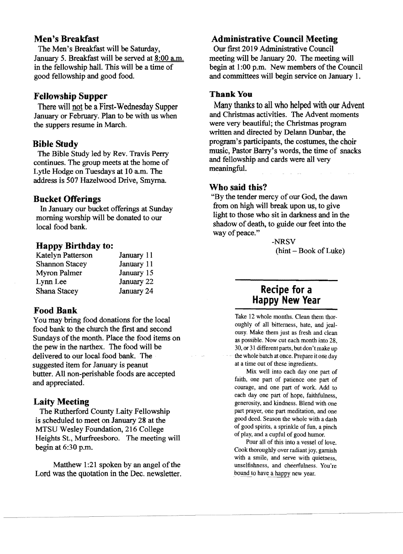## Men's Breakfast

The Men's Breakfast will be Saturday, January 5. Breakfast will be served at 8:00 a.m. in the fellowship hall. This will be a time of good fellowship and good food.

## Fellowship Supper

There will not be a First-Wednesday Supper January or February. Plan to be with us when the suppers resume in March.

#### Bible Study

The Bible Study led by Rev. Travis Perry continues. The group meets at the home of Lytle Hodge on Tuesdays at *10* a.m. The address is 507 Hazelwood Drive, Smyrna.

#### Bucket Offerings

In January our bucket offerings at Sunday morning worship will be donated to our local food bank.

#### Happy Birthday to:

| <b>Katelyn Patterson</b> | January 11 |
|--------------------------|------------|
| <b>Shannon Stacey</b>    | January 11 |
| Myron Palmer             | January 15 |
| Lynn Lee                 | January 22 |
| Shana Stacey             | January 24 |

#### Food Bank

You may bring food donations for the local food bank to the church the fIrst and second Sundays of the month. Place the food items on the pew in the narthex. The food will be delivered to our local food bank. The suggested item for January is peanut butter. All non-perishable foods are accepted and appreciated.

## Laity Meeting

The Rutherford County Laity Fellowship is scheduled to meet on January 28 at the MTSU Wesley Foundation, 216 College Heights St., Murfreesboro. The meeting will begin at 6:30 p.m.

Matthew  $1:21$  spoken by an angel of the Lord was the quotation in the Dec. newsletter.

## Administrative Council Meeting

Our first 2019 Administrative Council meeting will be January 20. The meeting will begin at 1:00 p.m. New members of the Council and committees will begin service on January 1.

#### Thank You

Many thanks to all who helped with our Advent and Christmas activities. The Advent moments were very beautiful; the Christmas program written and directed by De1ann Dunbar, the program's participants, the costumes, the choir music, Pastor Barry's words, the time of snacks and fellowship and cards were all very meaningful.

#### Who said this?

"By the tender mercy of our God, the dawn from on high will break upon us, to give light to those who sit in darkness and in the shadow of death, to guide our feet into the way of peace."

> -NRSV  $(hint - Book of Luke)$

# Recipe for a Happy New Year

Take 12 whole months. Clean them thoroughly of all bitterness, hate, and jealousy. Make them just as fresh and clean as possible. Now cut each month into 28, 30, or 31 different parts, but don't make up the whole batch at once. Prepare it one day at a time out of these ingredients.

Mix well into each day one part of faith, one part of patience one part of courage, and one part of work. Add to each day one part of hope, faithfulness, generosity, and kindness. Blend with one part prayer, one part meditation, and one good deed. Season the whole with a dash of good spirits, a sprinkle of fun, a pinch of play, and a cupful of good humor.

Pour all of this into a vessel of love. Cook thoroughly over radiant joy, garnish with a smile, and serve with quietness, unselfishness, and cheerfulness. You're bound to have a happy new year.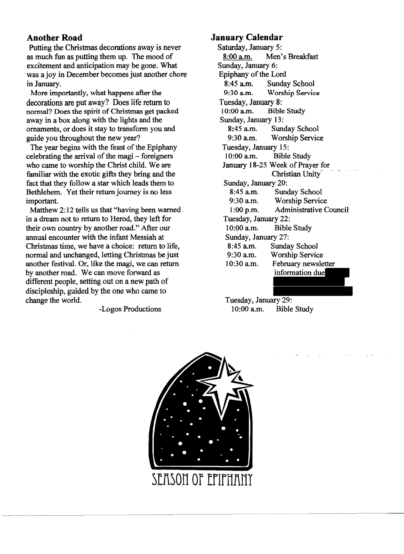# **Another Road**

Putting the Christmas decorations away is never as much fun as putting them up. The mood of excitement and anticipation may be gone. What was a joy in December becomes just another chore in January.

More importantly, what happens after the decorations are put away? Does life return to normal? Does the spirit of Christmas get packed away in a box along with the lights and the ornaments, or does it stay to transform you and guide you throughout the new year?

The year begins with the feast of the Epiphany celebrating the arrival of the magi - foreigners who came to worship the Christ child. We are familiar with the exotic gifts they bring and the fact that they follow a star which leads them to Bethlehem. Yet their return journey is no less important.

Matthew 2: 12 tells us that "having been warned in a dream not to return to Herod, they left for their own country by another road." After our annual encounter with the infant Messiah at Christmas time, we have a choice: return to life, normal and unchanged, letting Christmas be just another festival. Or, like the magi, we can return by another road. We can move forward as different people, setting out on a new path of discipleship, guided by the one who came to change the world.

-Logos Productions

## **January Calendar**

Saturday, January 5: 8:00 a.m. Men's Breakfast Sunday, January 6: Epiphany of the Lord<br>8:45 a.m. Sunda 8:45 a.m. Sunday School<br>9:30 a.m. Worship Servic Worship Service Tuesday, January 8:<br>10:00 a.m. Bible **Bible Study** Sunday, January 13:<br>8:45 a.m. Sun Sunday School 9:30 a.m. Worship Service Tuesday, January 15: 10:00 a.m. Bible Study January 18-25 Week of Prayer for Christian Unity-Sunday, January 20:<br>8:45 a.m. Sund Sunday School 9:30 a.m. Worship Service 1 :00 p.m. Administrative Council Tuesday, January 22: 10:00 a.m. Bible Study Sunday, January 27: 8:45 a.m. Sunday School 9:30 a.m. Worship Service 10:30 a.m. February newsletter information due

Tuesday, January 29: 10:00 a.m. Bible Study